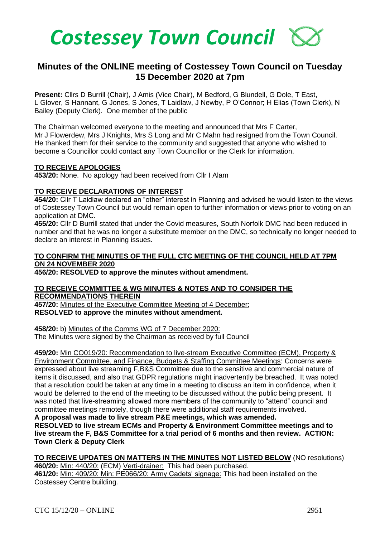

# **Minutes of the ONLINE meeting of Costessey Town Council on Tuesday 15 December 2020 at 7pm**

**Present:** Cllrs D Burrill (Chair), J Amis (Vice Chair), M Bedford, G Blundell, G Dole, T East, L Glover, S Hannant, G Jones, S Jones, T Laidlaw, J Newby, P O'Connor; H Elias (Town Clerk), N Bailey (Deputy Clerk). One member of the public

The Chairman welcomed everyone to the meeting and announced that Mrs F Carter, Mr J Flowerdew, Mrs J Knights, Mrs S Long and Mr C Mahn had resigned from the Town Council. He thanked them for their service to the community and suggested that anyone who wished to become a Councillor could contact any Town Councillor or the Clerk for information.

#### **TO RECEIVE APOLOGIES**

**453/20:** None. No apology had been received from Cllr I Alam

#### **TO RECEIVE DECLARATIONS OF INTEREST**

**454/20:** Cllr T Laidlaw declared an "other" interest in Planning and advised he would listen to the views of Costessey Town Council but would remain open to further information or views prior to voting on an application at DMC.

**455/20:** Cllr D Burrill stated that under the Covid measures, South Norfolk DMC had been reduced in number and that he was no longer a substitute member on the DMC, so technically no longer needed to declare an interest in Planning issues.

## **TO CONFIRM THE MINUTES OF THE FULL CTC MEETING OF THE COUNCIL HELD AT 7PM ON 24 NOVEMBER 2020**

**456/20: RESOLVED to approve the minutes without amendment.** 

#### **TO RECEIVE COMMITTEE & WG MINUTES & NOTES AND TO CONSIDER THE RECOMMENDATIONS THEREIN**

**457/20:** Minutes of the Executive Committee Meeting of 4 December: **RESOLVED to approve the minutes without amendment.** 

**458/20:** b) Minutes of the Comms WG of 7 December 2020: The Minutes were signed by the Chairman as received by full Council

**459/20:** Min CO019/20: Recommendation to live-stream Executive Committee (ECM), Property & Environment Committee, and Finance, Budgets & Staffing Committee Meetings: Concerns were expressed about live streaming F,B&S Committee due to the sensitive and commercial nature of items it discussed, and also that GDPR regulations might inadvertently be breached. It was noted that a resolution could be taken at any time in a meeting to discuss an item in confidence, when it would be deferred to the end of the meeting to be discussed without the public being present. It was noted that live-streaming allowed more members of the community to "attend" council and committee meetings remotely, though there were additional staff requirements involved.

**A proposal was made to live stream P&E meetings, which was amended. RESOLVED to live stream ECMs and Property & Environment Committee meetings and to live stream the F, B&S Committee for a trial period of 6 months and then review. ACTION: Town Clerk & Deputy Clerk**

**TO RECEIVE UPDATES ON MATTERS IN THE MINUTES NOT LISTED BELOW** (NO resolutions) **460/20:** Min: 440/20: (ECM) Verti-drainer: This had been purchased. **461/20:** Min: 409/20: Min: PE066/20: Army Cadets' signage: This had been installed on the Costessey Centre building.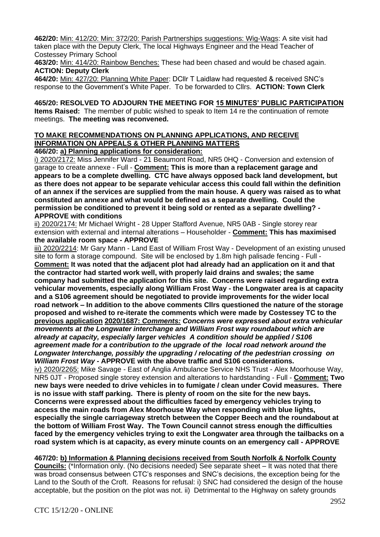**462/20:** Min: 412/20: Min: 372/20: Parish Partnerships suggestions: Wig-Wags: A site visit had taken place with the Deputy Clerk, The local Highways Engineer and the Head Teacher of Costessey Primary School

**463/20:** Min: 414/20: Rainbow Benches: These had been chased and would be chased again. **ACTION: Deputy Clerk**

**464/20:** Min: 427/20: Planning White Paper: DCllr T Laidlaw had requested & received SNC's response to the Government's White Paper. To be forwarded to Cllrs. **ACTION: Town Clerk**

**465/20: RESOLVED TO ADJOURN THE MEETING FOR 15 MINUTES' PUBLIC PARTICIPATION Items Raised:** The member of public wished to speak to Item 14 re the continuation of remote meetings. **The meeting was reconvened.**

# **TO MAKE RECOMMENDATIONS ON PLANNING APPLICATIONS, AND RECEIVE INFORMATION ON APPEALS & OTHER PLANNING MATTERS**

**466/20: a) Planning applications for consideration:**

i) 2020/2172: Miss Jennifer Ward - 21 Beaumont Road, NR5 0HQ - Conversion and extension of garage to create annexe - Full - **Comment: This is more than a replacement garage and appears to be a complete dwelling. CTC have always opposed back land development, but as there does not appear to be separate vehicular access this could fall within the definition of an annex if the services are supplied from the main house. A query was raised as to what constituted an annexe and what would be defined as a separate dwelling. Could the permission be conditioned to prevent it being sold or rented as a separate dwelling? - APPROVE with conditions**

ii) 2020/2174: Mr Michael Wright - 28 Upper Stafford Avenue, NR5 0AB - Single storey rear extension with external and internal alterations – Householder - **Comment: This has maximised the available room space - APPROVE**

iii) 2020/2214: Mr Gary Mann - Land East of William Frost Way - Development of an existing unused site to form a storage compound. Site will be enclosed by 1.8m high palisade fencing - Full - **Comment: It was noted that the adjacent plot had already had an application on it and that the contractor had started work well, with properly laid drains and swales; the same company had submitted the application for this site. Concerns were raised regarding extra vehicular movements, especially along William Frost Way - the Longwater area is at capacity and a S106 agreement should be negotiated to provide improvements for the wider local road network – In addition to the above comments Cllrs questioned the nature of the storage proposed and wished to re-iterate the comments which were made by Costessey TC to the previous application 2020/1687:** *Comments: Concerns were expressed about extra vehicular movements at the Longwater interchange and William Frost way roundabout which are already at capacity, especially larger vehicles A condition should be applied / S106 agreement made for a contribution to the upgrade of the local road network around the Longwater Interchange, possibly the upgrading / relocating of the pedestrian crossing on William Frost Way -* **APPROVE with the above traffic and S106 considerations.**

iv) 2020/2265: Mike Savage - East of Anglia Ambulance Service NHS Trust - Alex Moorhouse Way, NR5 0JT - Proposed single storey extension and alterations to hardstanding - Full - **Comment: Two new bays were needed to drive vehicles in to fumigate / clean under Covid measures. There is no issue with staff parking. There is plenty of room on the site for the new bays. Concerns were expressed about the difficulties faced by emergency vehicles trying to access the main roads from Alex Moorhouse Way when responding with blue lights, especially the single carriageway stretch between the Copper Beech and the roundabout at the bottom of William Frost Way. The Town Council cannot stress enough the difficulties faced by the emergency vehicles trying to exit the Longwater area through the tailbacks on a road system which is at capacity, as every minute counts on an emergency call - APPROVE**

**467/20: b) Information & Planning decisions received from South Norfolk & Norfolk County** 

**Councils:** (\*Information only. (No decisions needed) See separate sheet – It was noted that there was broad consensus between CTC's responses and SNC's decisions, the exception being for the Land to the South of the Croft. Reasons for refusal: i) SNC had considered the design of the house acceptable, but the position on the plot was not. ii) Detrimental to the Highway on safety grounds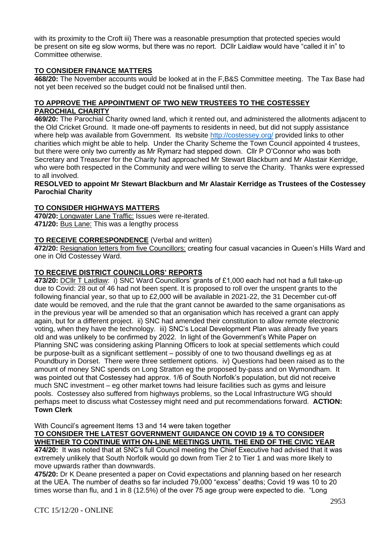with its proximity to the Croft iii) There was a reasonable presumption that protected species would be present on site eg slow worms, but there was no report. DCllr Laidlaw would have "called it in" to Committee otherwise.

# **TO CONSIDER FINANCE MATTERS**

**468/20:** The November accounts would be looked at in the F,B&S Committee meeting. The Tax Base had not yet been received so the budget could not be finalised until then.

## **TO APPROVE THE APPOINTMENT OF TWO NEW TRUSTEES TO THE COSTESSEY PAROCHIAL CHARITY**

**469/20:** The Parochial Charity owned land, which it rented out, and administered the allotments adjacent to the Old Cricket Ground. It made one-off payments to residents in need, but did not supply assistance where help was available from Government. Its website<http://costessey.org/> provided links to other charities which might be able to help. Under the Charity Scheme the Town Council appointed 4 trustees, but there were only two currently as Mr Rymarz had stepped down. Cllr P O'Connor who was both Secretary and Treasurer for the Charity had approached Mr Stewart Blackburn and Mr Alastair Kerridge, who were both respected in the Community and were willing to serve the Charity. Thanks were expressed to all involved.

### **RESOLVED to appoint Mr Stewart Blackburn and Mr Alastair Kerridge as Trustees of the Costessey Parochial Charity**

### **TO CONSIDER HIGHWAYS MATTERS**

**470/20:** Longwater Lane Traffic: Issues were re-iterated. **471/20:** Bus Lane: This was a lengthy process

### **TO RECEIVE CORRESPONDENCE** (Verbal and written)

**472/20:** Resignation letters from five Councillors: creating four casual vacancies in Queen's Hills Ward and one in Old Costessey Ward.

# **TO RECEIVE DISTRICT COUNCILLORS' REPORTS**

**473/20:** DCllr T Laidlaw: i) SNC Ward Councillors' grants of £1,000 each had not had a full take-up due to Covid: 28 out of 46 had not been spent. It is proposed to roll over the unspent grants to the following financial year, so that up to £2,000 will be available in 2021-22, the 31 December cut-off date would be removed, and the rule that the grant cannot be awarded to the same organisations as in the previous year will be amended so that an organisation which has received a grant can apply again, but for a different project. ii) SNC had amended their constitution to allow remote electronic voting, when they have the technology. iii) SNC's Local Development Plan was already five years old and was unlikely to be confirmed by 2022. In light of the Government's White Paper on Planning SNC was considering asking Planning Officers to look at special settlements which could be purpose-built as a significant settlement – possibly of one to two thousand dwellings eg as at Poundbury in Dorset. There were three settlement options. iv) Questions had been raised as to the amount of money SNC spends on Long Stratton eg the proposed by-pass and on Wymondham. It was pointed out that Costessey had approx. 1/6 of South Norfolk's population, but did not receive much SNC investment – eg other market towns had leisure facilities such as gyms and leisure pools. Costessey also suffered from highways problems, so the Local Infrastructure WG should perhaps meet to discuss what Costessey might need and put recommendations forward. **ACTION: Town Clerk**

With Council's agreement Items 13 and 14 were taken together

**TO CONSIDER THE LATEST GOVERNMENT GUIDANCE ON COVID 19 & TO CONSIDER WHETHER TO CONTINUE WITH ON-LINE MEETINGS UNTIL THE END OF THE CIVIC YEAR**

**474/20:** It was noted that at SNC's full Council meeting the Chief Executive had advised that it was extremely unlikely that South Norfolk would go down from Tier 2 to Tier 1 and was more likely to move upwards rather than downwards.

**475/20:** Dr K Deane presented a paper on Covid expectations and planning based on her research at the UEA. The number of deaths so far included 79,000 "excess" deaths; Covid 19 was 10 to 20 times worse than flu, and 1 in 8 (12.5%) of the over 75 age group were expected to die. "Long